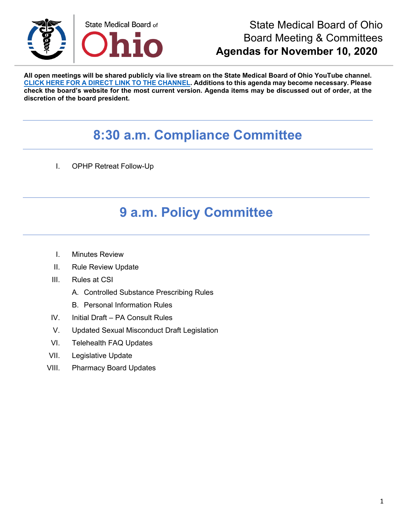

#### State Medical Board of Ohio Board Meeting & Committees **Agendas for November 10, 2020**

**All open meetings will be shared publicly via live stream on the State Medical Board of Ohio YouTube channel. [CLICK HERE FOR A DIRECT LINK TO THE CHANNEL.](https://www.youtube.com/channel/UCWBHBfwOyUtBZmBEZvtYPvA) Additions to this agenda may become necessary. Please check the board's website for the most current version. Agenda items may be discussed out of order, at the discretion of the board president.**

# **8:30 a.m. Compliance Committee**

I. OPHP Retreat Follow-Up

### **9 a.m. Policy Committee**

- I. Minutes Review
- II. Rule Review Update
- III. Rules at CSI
	- A. Controlled Substance Prescribing Rules
	- B. Personal Information Rules
- IV. Initial Draft PA Consult Rules
- V. Updated Sexual Misconduct Draft Legislation
- VI. Telehealth FAQ Updates
- VII. Legislative Update
- VIII. Pharmacy Board Updates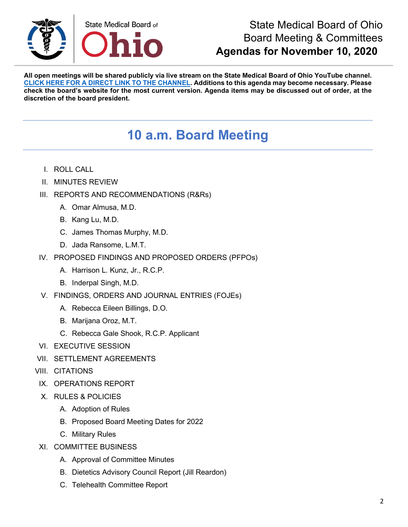

#### State Medical Board of Ohio Board Meeting & Committees **Agendas for November 10, 2020**

**All open meetings will be shared publicly via live stream on the State Medical Board of Ohio YouTube channel. [CLICK HERE FOR A DIRECT LINK TO THE CHANNEL.](https://www.youtube.com/channel/UCWBHBfwOyUtBZmBEZvtYPvA) Additions to this agenda may become necessary. Please check the board's website for the most current version. Agenda items may be discussed out of order, at the discretion of the board president.**

## **10 a.m. Board Meeting**

- I. ROLL CALL
- II. MINUTES REVIEW
- III. REPORTS AND RECOMMENDATIONS (R&Rs)
	- A. Omar Almusa, M.D.
	- B. Kang Lu, M.D.
	- C. James Thomas Murphy, M.D.
	- D. Jada Ransome, L.M.T.
- IV. PROPOSED FINDINGS AND PROPOSED ORDERS (PFPOs)
	- A. Harrison L. Kunz, Jr., R.C.P.
	- B. Inderpal Singh, M.D.
- V. FINDINGS, ORDERS AND JOURNAL ENTRIES (FOJEs)
	- A. Rebecca Eileen Billings, D.O.
	- B. Marijana Oroz, M.T.
	- C. Rebecca Gale Shook, R.C.P. Applicant
- VI. EXECUTIVE SESSION
- VII. SETTLEMENT AGREEMENTS
- VIII. CITATIONS
- IX. OPERATIONS REPORT
- X. RULES & POLICIES
	- A. Adoption of Rules
	- B. Proposed Board Meeting Dates for 2022
	- C. Military Rules
- XI. COMMITTEE BUSINESS
	- A. Approval of Committee Minutes
	- B. Dietetics Advisory Council Report (Jill Reardon)
	- C. Telehealth Committee Report